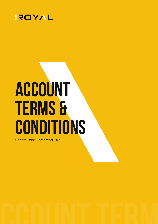

# **Account Terms & Conditions**

Update Date: September 2021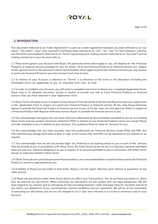

#### **1. INTRODUCTION**

This document (referred to as "Client Agreement") is part of a wider agreement between you (also referred to as "our client", "the client", "your" and "yourself") and Royal (also referred to as, "we", "us", "our" or "the Company" and sets out the terms and conditions (referred to as "Terms") governing your trading account (referred to as "Account") and all trading carried out in your Account with us.

1.1 These terms govern your Account with Royal. The particular terms which apply to you will depend on the Financial Products or financial services provided to you by Royal. All of the Financial Products or financial services are subject to the general terms in this document and to the Schedules which apply to particular financial services you may receive or particular Financial Products you may transact from time to time.

1.2 In relation to your Account, a reference to "Terms" is a reference to the terms in this document (including the Schedules) which are applicable to you, as amended from time to time.

1.3 In order to establish your Account, you will need to complete and return to Royal your completed Application Form. Royal may, in its absolute discretion, accept or decline to provide any one or more Financial Products or financial services that you have selected in your Application Form.

1.4 These Terms will apply to you in respect of your Account from the earlier of (a) the time Royal accepts your application in the Application Form in respect of a particular Financial Product or financial service; (b) the time Royal otherwise agrees to provide the Financial Product or financial service to you; or (c) the time you first place an Order in respect of a Financial Product with Royal or otherwise instruct Royal to provide the financial service to you.

1.5 You acknowledge and agree that you have read and understood all documentation provided to you by us including these Terms and any product disclosure statement (PDS) in relation to any Financial Products which you request Royal to make available to you in relation to your Account. You authorise Royal to open an Account for you.

1.6 You acknowledge that you have received, read and understood our Financial Services Guide (FSG) and PDS. Our FSG and PDS may change from time to time. A copy of the current FSG and PDS can be obtained on our website or on request.

1.7 You acknowledge that we will not provide legal, tax, financial or accounting advice to you as part of the services that we provide to you in accordance with these Terms. By these Terms we do not act in a fiduciary capacity and Royal does not owe any fiduciary obligations to you in respect of its services provided to you in connection with these Terms except as expressly stated in these Terms.

1.8 These Terms do not constitute personal financial advice, nor a recommendation or opinion that a particular Financial Product or service is appropriate for you.

1.9 A liability of Royal accrues solely to that entity. Royal is not the agent, fiduciary, joint venture or guarantor of any other person.

1.10 Royal has discretions under these Terms which can affect your Transactions. You do not have any power to direct how we exercise our discretions. When exercising our discretions, we will comply with our legal obligations. We will have regard to our policies and to managing all risks (including financial, credit and legal risks) for ourselves and all of our clients, our obligations to our counterparties, market conditions and our reputation. We will try to act reasonably in exercising our discretions, but we are not obliged to act in your best interests or to avoid or minimize a loss in your Account.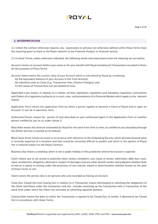#### **2. INTERPRETATION**

2.1 Unless the context otherwise requires, any expressions or phrases not otherwise defined within these Terms have the meaning given to them in the Rules relevant to the Financial Product or financial service.

2.2 In these Terms, unless otherwise indicated, the following words and expressions have the meaning set out below:

Account means an account held in your name or for your benefit with Royal including all Transactions recorded in them, for the purposes of these Terms.

Account Value means the current value of your Account which is calculated by Royal by combining:

- (a) the equivalent balance of your Account in the Trust Account;
- (b) indicative costs to Close (e.g., Transaction Fees, Finance Charges); and
- (c) the values of Transactions not yet booked (if any).

Applicable Laws means, in relation to a matter, all laws, legislation, regulation and subsidiary regulation, instruments and Orders of a regulatory authority or a court, rules and procedures of a Financial Market which apply to the relevant matter.

Application Form means the application form by which a person applies to become a Client of Royal and to open an Account. It can be in electronic form.

Authorised Person means the person (if any) described as your authorised agent in the Application Form or another person notified by you to us under clause 5.

Base Rate means the amount nominated by Royal for this term from time to time, as notified to you (including through the Online Service) or posted on its website.

Black Swan Event means an event or occurrence with reference to the Underlying Security which deviates beyond what is normally expected of a situation and that would be extremely difficult to predict and which in the opinion of Royal has a material impact on the Royal Contract.

Business Day means a weekday which is not a public holiday in the jurisdiction where the account is opened.

Claim means any or all, actual or potential claim, action, complaint, suit, cause of action, arbitration, debt due, costs, claim, entitlement, allegation, demand in respect of damages and any other benefit verdict and judgment whether both at law or in equity or arising under the provisions of any statute, award or determination whether known at the date of these Terms or not.

Client means the person who is (or persons who are) recorded as having an Account.

Close Out, Closed Out and Closing Out in relation to a Transaction means discharging or satisfying the obligations of the Client and Royal under the transaction and this includes matching up the Transaction with a Transaction of the same kind under which the Client has assumed an offsetting opposite position.

Closing Date means the date on which the Transaction is agreed to be Closed Out, or earlier, if deemed to be Closed Out in accordance with these Terms.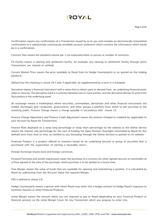

Confirmation means any confirmation of a Transaction issued by us to you and includes an electronically transmitted confirmation or a substantially continuously available account statement which contains the information which would be in a confirmation.

Contract Size means the standard volume per 1 Lot expressed either in ounces or number of contracts.

CS Facility means a clearing and settlement facility, for example, any clearing or settlement facility through which Transactions are cleared or settled).

Current Market Price means the price available to Royal from its Hedge Counterparty or as quoted on the trading platform.

Default has the meaning in clause 24.1 and, if applicable, as supplemented by a term in a Schedule.

Derivative means a financial instrument with a value that is reliant upon or derived from, an underlying financial asset, index or security. The derivative itself is a contract between two or more parties, and the derivative derives its price from fluctuations in the underlying asset.

An exchange means a marketplace where securities, commodities, derivatives and other financial instruments are traded. Exchanges give companies, governments, and other groups a platform from which to sell securities to the investing public. Finance Charge means a charge payable in accordance with clause 13.

Finance Charge Adjustment and Finance Credit Adjustment means the amount charged or credited (as applicable) to your Account by Royal for Transactions.

Finance Rate displayed as a swap long percentage or swap short percentage on the website or the Online Service means the interest rate percentage for the cost of funding the Open Position Overnight nominated by Royal for this defined term from time to time, as notified to you (including through the Online Service) or posted on its website.

Financial Product is a product offered to investors based on an underlying security or group of securities that is purchased with the expectation of earning a favorable return.

Foreign Exchange means local and foreign currencies.

Forward Purchase and similar expressions mean the purchase of a currency (or other agreed security or commodity at a Price agreed at the time of the purchase, which purchase is to be settled at a future time.

Free Margin means the value of funds that are available for opening and maintaining a position. It is calculated by Royal by subtracting from the Account Value the required Margin.

FSG is defined in clause 1.6.

Hedge Counterparty means a person with whom Royal may enter into a hedge contract to hedge Royal's exposure to Synthetic Equities or other Financial Products.

Initial Margin means the amount which you are required to pay to Royal (depending on your Financial Product or financial service), as the initial Margin Cover for any Transaction which you propose to enter into.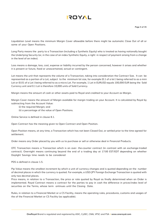Liquidation Level means the minimum Margin Cover allowable before there might be automatic Close Out of all or some of your Open Positions.

Long Party means the party to a Transaction (including a Synthetic Equity) who is treated as having notionally bought the Underlying Security (or, in the case of an index Synthetic Equity, a right in respect of payment arising from a change in the level of an index).

Loss means a damage, loss, cost, expense or liability incurred by the person concerned, however it arises and whether it is present or future, fixed or unascertained, actual or contingent.

Lot means the unit that represents the volume of a Transaction, taking into consideration the Contract Size. It can be represented as a portion of a Lot, subject to the minimum lot size, for example (0.1 of a lot ) being referred to as a mini Lot or (0.01 of a Lot ) being referred to as a micro Lot. For example, 1 Lot in EURUSD equals 100,000 EUR being the Sold Currency unit and 0.1 Lot is therefore 10,000 units of Sold Currency.

Margin means the amount of cash or other assets paid to Royal and credited to your Account as Margin.

Margin Cover means the amount of Margin available for margin trading on your Account. It is calculated by Royal by subtracting from the Account Value:

(i) the required Margin; and

(ii) a percentage of the value of Open Positions.

Online Service is defined in clause 8.1.

Open Contract has the meaning given to Open Contract and Open Position.

Open Position means, at any time, a Transaction which has not been Closed Out, or settled prior to the time agreed for settlement.

Order means any Order placed by you with us to purchase or sell or otherwise deal in Financial Products.

OTC Transaction means a Transaction which is an over- the-counter contract (in contrast with an exchange-traded contract). Overnight means continuing beyond the end of a trading day at 17:00 EST/EDT depending on whether Daylight Savings time needs to be considered

PDS is defined in clause 1.5.

Pip Value means the smallest increment by which a unit of currency changes and is quoted depending on the number of decimal places in which the currency is quoted. For example, a USD/JPY Foreign Exchange Transaction is quoted with only two decimal places.

Price means, in relation to a Transaction, the price or rate quoted by Royal as finally determined when an Order is implemented. Royal Contract means a contract for the parties to pay in cash the difference in prices/index level of securities on the Terms, whose term ontinues until the Closing Date.

Rules, in relation to a Financial Market or a CS Facility, means the operating rules, procedures, customs and usages of the of the Financial Market or CS Facility (as applicable).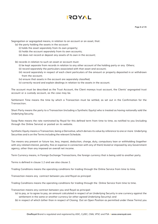

**Page 6 of 35**

Segregation or segregated means, in relation to an account or an asset, that:

(a) the party holding the assets in the account:

- (i) holds the asset separately from its own property;
- (ii) holds the account separately from its own accounts;
- (iii) does not record or deposit any assets of its own in the account;

(b) records in relation to such an asset or account must:

- (i) be kept separate from records in relation to any other account of the holding party or any Others;
- (ii) record separately the particulars associated with that asset and account;
- (iii) record separately in respect of each client particulars of the amount or property deposited in or withdrawn from the account;
- (iv) ensure that assets in the account are separately classified;
- (v) correctly record and explain dealings in relation to the assets in the account.

The account must be described as the Trust Account, the Client moneys trust account, the Clients' segregated trust account or a custody account, as the case may be.

Settlement Time means the time by which a Transaction must be settled, as set out in the Confirmation for the Transaction.

Short Party means the party to a Transaction (including a Synthetic Equity) who is treated as having notionally sold the Underlying Security.

Swap Rate means the rate nominated by Royal for this defined term from time to time, as notified to you (including through the Online Service) or posted on its website.

Synthetic Equity means a Transaction, being a Derivative, which derives its value by reference to one or more Underlying Securities and is on the Terms including the relevant Schedule.

Tax means any present or future tax, levy, impost, deduction, charge, duty, compulsory loan or withholding (together with any related interest, penalty, fine or expense in connection with any of them) levied or imposed by any Government agency, other than any imposed on overall net income.

Term Currency means, in Foreign Exchange Transactions, the foreign currency that is being sold to another party.

Terms is defined in clause 1.2 and see also clause 2.

Trading Conditions means the operating conditions for trading through the Online Service from time to time.

Transaction means any contract between you and Royal as principal:

Trading Conditions means the operating conditions for trading through the Online Service from time to time.

Transaction means any contract between you and Royal as principal:

(a) to pay, or to agree to pay, an amount calculated in respect of an Underlying Security in one currency against the settlement in the same or another currency (or other agreed Underlying Security); and

(b) in respect of which (other than in respect of Closing Out an Open Position as permitted under these Terms) you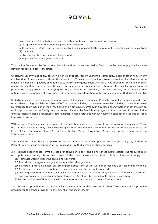- have, or you are taken to have, agreed (whether orally, electronically or in writing) to:
- (i) the specification of the Underlying Securities involved;
- (ii) the amount of Underlying Securities involved and, if applicable, the amount of the specified currency involved; (iii) the Price;
- (iv) Transaction Fee and Finance Charges; and
- (v) any other features agreed by Royal.

Transaction Fee means the fee or commission from time to time specified by Royal to be the amount payable by you to Royal in respect of each Transaction.

Underlying Security means any security, Financial Product, Foreign Exchange, commodity, index or other item (or any combination of one or more of those) the subject of a Transaction, including a value determined by reference to an index or an index multiplied by an amount of currency, in any jurisdiction, whether or not through an Exchange or other market facility. References in these Terms to an Underlying Security which is a share or other similar equity financial product also apply when the Underlying Security is different, for example, a futures contract, an exchange traded option, a currency (or pairs of currencies) (with any necessary adaptation to the particular kind of Underlying Security).

Underlying Security Price means the market price of the security, Financial Product, ForeignExchange,commodity (or other relevant thing) which is the subject of a Transaction, including a value determined by, including a value determined by reference to an index or an index multiplied by an amount of currency, in any jurisdiction, whether or not through an exchange or other market facility, in any case as calculated by Royal, having regard to the purposes of the calculation and the intent to make a reasonable determination in good faith but without having to consider the specific personal interests of any person.

Withdrawable Funds means the amount of cash which would be paid to you from the Account if requested. There are Withdrawable Funds only if your Free Margin is a positive amount. The amount of the Withdrawable Funds is the lesser of the cash balance of your Account and the Free Margin. If your Free Margin is not positive, there will be no Withdrawable Funds.

You means the Client, being the person or persons in whose name we open an Account (including any Authorised Person), following our acceptance of an application by that person or those persons.

2.3 Headings used in these Terms are used for convenience only, and do not affect interpretation. The following rules also apply in interpreting this document, except if the context makes it clear that a rule is not intended to apply.

- (a) A singular word includes the plural and vice versa.
- (b) A word which suggests one gender includes the other genders.
- (c) If a word or phrase is defined, any other grammatical form of that word or phrase has a corresponding meaning.
- (d) A reference to time is to local time of the country where the account is opened.
- (e) Anything permitted to be done by Royal in accordance with these Terms may be done in its absolute discretion, and any opinion or view required to be formed by Royal may be formed in its absolute discretion.
- (f) For the avoidance of doubt, time will continue to run on days which are not Business Days.

2.4 If a specific provision in a Schedule is inconsistent with another provision in these Terms, the specific provision prevailsover the other provision to the extent of the inconsistency.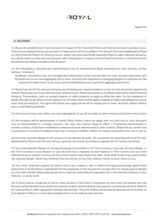## **3. ACCOUNT**

3.1 Royal will establish one or more Accounts in respect of the Financial Products or financial services it provides to you. Transactions entered into by you pursuant to these terms will be recorded in the relevant Account established by Royal for that Financial Product or financial service. Unless you have specifically requested Royal to open separate Accounts, you will be taken to have only one Account, with Transactions in respect of each Financial Product or financial service provided to you being recorded in that Account.

3.2 The calculations, reporting and administration may be performed by Royal separately for each Account, so that (without limitation):

- (a) Margin calculations may be managed and enforcement action may be taken for each Account separately; and
- (b) Royal may at any time aggregate one or more Accounts (for reporting or managing Margins or otherwise for the purposes of these Terms), even if you cannot immediately access reports for aggregated Accounts.

3.3 Royal may set off any amount owing by you (including any negative balance in one or more Accounts) against any amount Royal owes you in any other Account, without notice. Royal may choose, in its absolute discretion, which Financial Products, Transactions, cash, or account balance or other property to apply to offset the debt. For the avoidance of doubt, this right of set off (and other rights of set off under these Terms) apply in respect of rights and obligations across more than one Account. You agree that Royal may apply the set off as among one or more Accounts, before Default and on and following Default.

3.4 The Account Value may reflect any such aggregation or set off any debt or other amount owing from time to time.

3.5 All Accounts will be denominated in United Sates Dollars unless we agree with you that one or more Accounts may be denominated in a foreign currency. You may only instruct Royal to effect a Transaction denominated in another currency if you have established a relevant Account denominated in that currency. Royal will not convert any Transaction or any Account balance from one currency to another without an express instruction from you to do so.

3.6 You must maintain Margin in the currency of the relevant Account. The conversion for reporting will be at the rate determined by Royal and that rate will not represent any actual conversion or agreed rate for actual conversion.

3.7 You must maintain Margin for Foreign Exchange Transactions in the Term Currency. If you do not have Margin in the Term Currency in your Account or your Account has a negative account balance in Term Currency but you have sufficient funds in another currency (at the current market rate), Royal may allow those other funds to be used to offset the required Margin. Royal may withdraw that permission at any time, without reason or prior notice to you.

3.8 You must, whenever required by Royal and at your expense, take or defend all legal proceedings which Royal determines in its discretion is appropriate for the protection of the Account (or any part of it ) or money paid as Margin to it for itself, whether those proceedings are or might be reasonably be expected to be in the interests of Royal, or your interests, or partly both.

3.9 A Client may be comprised of two or more persons. If the Client is comprised of more than one person then the Account will be deemed to be held by the persons as joint tenants despite any actual or constructive notice to Royal of any partnership or other agreement between the persons. The joint holding will be only be deemed not to be held as joint tenants if there is a court determination that it is not held as joint tenants.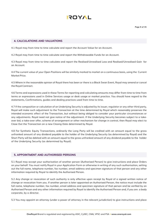

#### **4. CALCULATIONS AND VALUATIONS**

4.1 Royal may from time to time calculate and report the Account Value for an Account.

4.2 Royal may from time to time calculate and report the Withdrawable Funds for an Account.

4.3 Royal may from time to time calculate and report the Realised/Unrealised Loss and Realised/Unrealised Gain for an Account.

4.4 The current value of your Open Positions will be similarly marked to market on a continuous basis, using the Current Market Price.

4.5 Where in the reasonable opinion of Royal there has been or there is a Black Swan Event, Royal may amend or cancel the Royal Contract.

4.6 Terms and expressions used in these Terms for reporting and calculating amounts may differ from time to time from terms or expressions used in Online Services usage or desk usage or market practice. You should have regard to the statements, Confirmations, guides and dealing practices used from time to time.

4.7 If the composition or calculation of an Underlying Security is adjusted by its issuer, regulator or any other third party, Royal will make such adjustment to the Transaction at the time determined by Royal which reasonably preserves the intended economic effect of the Transaction, but without being obliged to consider your particular circumstances or any adjustments. Royal need not give notice of the adjustment. If the Underlying Security becomes subject to a takeover bid, a take-over offer, scheme of arrangement or other mechanism for change in control, then Royal may elect to Close Out the Transaction on a new Closing Date determined by Royal.

4.8 For Synthetic Equity Transactions, ordinarily the Long Party will be credited with an amount equal to the gross unfranked amount of any dividend payable to the holder of the Underlying Security (as determined by Royal) and the Short Party will be debited with an amount equal to the gross unfranked amount of any dividend payable to the holder of the Underlying Security (as determined by Royal).

#### **5. APPOINTMENT AND AUTHORISED PERSONS**

5.1 Royal may accept your authorisation of another person (Authorised Person) to give instructions and place Orders on your behalf. You must notify Royal in your Application Form or otherwise in writing of any such authorisation, setting out the full name, telephone number, fax number, email address and specimen signature of that person and any other information required by Royal to identify the Authorised Person.

5.2 Any change or revocation of such authority is only effective upon receipt by Royal of a signed written notice of change or revocation from you. If another person is later appointed an Authorised Person, the notice must include the full name, telephone number, fax number, email address and specimen signature of that person and be verified by an Authorised Person and any other information required by Royal to identify the Authorised Person and, if you are a body corporate, by a director.

5.3 You may appoint an attorney (under a power of attorney in the relevant jurisdiction) to give instructions and place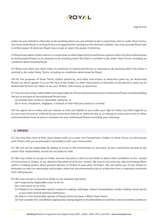

orders on your behalf or otherwise to do anything which you are entitled to do in connection with or under these Terms. You must notify Royal in writing of any such appointment setting out the attorney's details. You must provide Royal with a written power of attorney; Royal may accept or reject this power of attorney.

5.4 Royal may allow a Client which is a corporation or other legal entity to authorise a person (who is by that authorisation an Authorised Person) or an attorney to do anything which the Client is entitled to do under these Terms, including on conditions determined by Royal.

5.5 Royal may allow any other Client to authorise its Authorised Person or attorney to do anything which the Client is entitled to do under these Terms, including on conditions determined by Royal.

5.6 For the purposes of these Terms, Orders placed by, and other instructions or directions given by, an Authorised Person (or which appear to us on the face of the Orders or other instructions or directions to be placed or given by an Authorised Person) are taken to be your Orders, instructions or directions.

5.7 You are and remain solely liable and responsible for all acts and omissions of your Authorised Person notwithstanding the act or omission of the Authorised Person was:

- (a) outside their actual or ostensible authority; or
- (b) in error, fraudulent, negligent, in breach of their fiduciary duties or criminal.

5.8 You agree not to make, and you release us from any liability to you under your right to make, any Claim against us for any Loss incurred or suffered by you which arise directly or indirectly due to us relying on instructions from or other communications from or acts or omissions by your Authorised Person (including your attorney).

#### **6. ORDERS**

6.1 You may from time to time place Orders with us to enter into Transactions. Subject to these Terms, we will execute your Orders with you as principal in accordance with your instructions.

6.2 We will not be responsible for delays or errors in the transmission or execution of your instructions (except to the extent that responsibility cannot be excluded by law).

6.3 We may refuse to accept an Order and we may place a limit on any Order or place other conditions on the receipt of instructions or Orders, in our absolute discretion and for any reason. We may at any time use, add and change filters within a trading system which prevent delivery of Orders or execution of Orders. We will notify you of any refusal or limitation as soon as reasonably practicable, unless we are prevented by law or a direction from a regulatory authority from notifying you.

6.4 We may cancel or amend an Order at our absolute discretion:

- (a) if required by Applicable Laws to do so;
- (b) in the event of an error;
- (c) if Royal in its reasonable opinion suspects scalping, arbitrage, market manipulation, insider trading, fraud, deceit or any other kind of nefarious behaviour;
- (d) where in the reasonable opinion of Royal, there has been a Black Swan Event;
- (e) if we consider the cancellation appropriate, having regard to the desirability to maintain a fair and orderly market; or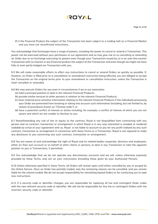(f) if the Financial Product the subject of the Transaction has been subject to a trading halt on a Financial Market and you have not reconfirmed instructions.

You acknowledge that Exchanges have a range of powers, including the power to cancel or amend a Transaction. This power can be exercised without your permission or our agreement and so may give rise to us cancelling or amending an Order due to an Exchange exercising its powers even though your Transaction issued by us is an over-the-counter Transaction with no interest in any Financial product the subject of the Transaction and even though we might not have fully or even partly hedged our Transaction with you.

6.5 We will make reasonable efforts to effect any instructions to cancel or amend Orders as quickly as possible. If, however, an Order is filled prior to a cancellation or amendment instruction being effected, you are obliged to accept the Transaction on the original terms prior to your amendment or cancellation instruction, unless the Transaction is itself cancelled or amended.

- 6.6 We may execute Orders for you even in circumstances if we or our associates:
	- (a) hold a principal position or deal in the relevant Financial Products;
	- (b) provide similar services to other persons in relation to the relevant Financial Products;
	- (c) have material price sensitive information relating to the relevant Financial Products if the individuals processing your Order are prevented from knowing or taking into account such information (including, but not limited to, by reason of procedures known as "Chinese walls"); or
	- (d) have a potential conflict of interest or duties including, for example, a conflict of interest of which you are not aware and which we are unable to disclose to you.

6.7 Notwithstanding any rule of law or equity to the contrary, Royal is not disqualified from contracting with any person and no contract, transaction or arrangement in which Royal is in any way interested is avoided or rendered voidable by virtue of your agreement with us. Royal is not liable to account to you for any profit realized by any such contract, transaction or arrangement in connection with these Terms or a Transaction. Royal is not required to make any disclosure to you concerning any such contract, transaction or arrangement.

6.8 You are aware of and acknowledge the right of Royal and its related bodies corporate, directors and employees, either on their own account or on behalf of other clients or persons, to deal in any Transaction or take the opposite position to you in Transactions, if permitted.

6.9 You acknowledge that we do not operate any discretionary accounts and we will, unless otherwise expressly provided by these Terms, only act on your instructions (including those given by your Authorised Person).

6.10 Unless otherwise specified in these Terms, all Orders will remain open until either cancelled by you or purged by the Online Service. Once an Order has partially traded, only the remaining volume can be cancelled, and you remain liable for the volume traded. We do not accept responsibility for reinstating lapsed Orders or for contacting you to seek new instructions.

6.11 If a security code or identifier changes, you are responsible for replacing all live and contingent Order codes with the new relevant security code or identifier. We will not be responsible for any live or contingent Orders with the incorrect security code or identifier.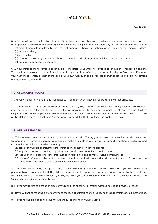## **AYOT!**

6.12 You must not instruct us to submit an Order to enter into a Transaction which would breach or cause us or any other person to breach or any other Applicable Laws including, without limitation, any law or regulation in relation to:

(a) market manipulation, false trading, market rigging, fictitious transactions, wash trading or matching of Orders; (b) insider trading;

(c) short selling;

- (d) creating a disorderly market or otherwise prejudicing the integrity or deficiency of the market; or
- (e) misleading or deceptive conduct.

6.13 Your instructions to Royal to enter into a Transaction, your Order to Royal to enter into the Transaction and the Transaction remains valid and enforceable against you, without affecting your other liability to Royal even if you (or your Authorised Person) are not authorised by your own rules such as a corporate or trust constitution or an investment management agreement).

#### **7. ALLOCATION POLICY**

7.1 Royal will deal fairly and in due sequence with all client Orders having regard to fair Market practices.

7.2 To the extent that it is reasonably practicable to do so, Royal will allocate all Transactions (including Transactions effected pursuant to Orders placed on Royal's own account) in the sequence in which Royal receives those Orders, subject to filters and compliance review and to any delay or technical faults connected with or arising through the use of the Online Service, an Exchange System or any other delay that is outside the control of Royal.

#### **8. ONLINE SERVICES**

8.1 This clause contains provisions which, in addition to the other Terms, govern the use of any online or other electronic trading or any information service we provide or make available to you (including, without limitation, all software and communication links) under which you may:

- (a) place your Orders or transmit other instructions to Royal or other persons;
- (b) enquire as to the availability or pricing or value of one or more Financial Products;
- (c) receive market data and other information in relation to one or more Financial Products; or
- (d) receive Confirmation, Account balances or other information in connection with your Account or Transactions. In these Terms, we refer to such a service as an Online Service.

8.2 An Online Service may be a proprietary service provided by Royal, or a service provided to you by a third party pursuant to an arrangement with Royal (for example, by an Exchange or by a Hedge Counterparty). To the extent that the Online Service is provided to you by Royal, we grant you a non-exclusive and non-transferable license to use the Online Service subject to these Terms.

8.3 Royal may refuse to accept or place any Order in its absolute discretion without having to provide a reason.

8.4 Royal will not be responsible for confirming the receipt of instructions or verifying the authenticity of your instructions.

8.5 Royal has no obligation to resubmit Orders purged from any Online Service.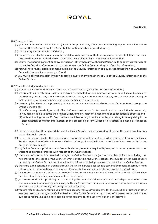#### 8.6 You agree that:

- (a) you must not use the Online Service (or permit or procure any other person including any Authorised Person to use the Online Service) until the Security Information has been provided by us;
- (b) the Security Information is confidential;
- (c) you are responsible for maintaining the confidentiality and use of that Security Information at all times and must procure that any Authorised Person maintains the confidentiality of the Security Information;
- (d) you will not permit, consent or allow any person (other than any Authorised Person in its capacity as your agent) to use the Security Information or to access or use the Online Service using that Security Information;
- (e) you will not provide, disclose or make available the Security Information to any person (other than an Authorised Person in its capacity as your agent); and
- (f) you must notify us immediately upon becoming aware of any unauthorised use of the Security Information or the Online Service.

#### 8.7 You acknowledge and agree that:

- (a) you are only permitted to access and use the Online Service, using the Security Information;
- (b) we are entitled to rely on all instructions given by, on behalf of, or apparently on your behalf, using the Security Information; despite any other provision of these Terms, we are not liable for any Loss caused by us acting on instructions or other communications using the Security Information;
- (c) there may be delays in the processing, execution, amendment or cancellation of an Order entered through the Online Service and:
	- (i) an Order may be wholly or partly filled before an instruction for its amendment or cancellation is processed; (ii) you remain liable to settle the original Order, until any relevant amendment or cancellation is effected; and
	- (iii) without limiting clause 23, Royal will not be liable for any Loss incurred by you arising from any delay in the dissemination of market information or the processing of any Order or instruction to amend or cancel an Order;
- (d) the execution of an Order placed through the Online Service may be delayed by filters or other electronic features of the electronic system;
- (e) we are not responsible for the processing, execution or cancellation of any Orders submitted through the Online Service, regardless of who enters such Orders and regardless of whether or not there is an error in the Order entry or for any delays;
- (f) any Online Service is provided on an "as is" basis and, except as required by law, we make no representations or warranties express or implied with respect to the Online Service;
- (g) the speed of information provided through the Online Service is subject to a number of factors including, but not limited to, the speed of the user's internet connection, the user's settings, the number of concurrent users accessing the Online Service and the volume of information being received and sent by the Online Service;
- (h) there are significant risks in trading through the Online Service because it is serviced by means of computer and telecommunications systems, even if generally accepted industry standards and practices are followed;
- (i) the features, components or terms of use of an Online Service may be changed by us or the provider of the Online Service without requiring an amendment to these Terms;
- (j) you are responsible for providing and maintaining the communications equipment and telephone or alternative services required for accessing and using the Online Service and for any communication service fees and charges incurred by you in accessing and using the Online Service;
- (k) you are responsible for ensuring you have in place alternative arrangements for the execution of Orders or other services available through the Online Service, if the Online Service or any aspect of it ceases to be available or subject to failure (including, for example, arrangements for the use of telephone or facsimile);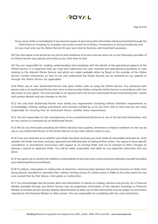

(l) you must notify us immediately if you become aware of any inaccurate information being transmitted through the Online Service including, for example, inaccurate content as to Orders, Transactions or Account balances; and (m) you must only use the Online Service for your own internal business and investment purposes.

8.8 You also agree to be bound by any terms and conditions of access and use which we or any third-party provider of an Online Service may specify and notify to you, from time to time.

8.9 You are responsible for reading, understanding and complying with the details of the operational aspects of the Online Service. It is important that you read and understand any user manuals and operational procedures or rules relating to the relevant Online Service and which are made available either by Royal or the provider of the Online Service. Further information on how to use and understand the Online Service can be obtained on our website or through the Online Service (as applicable).

8.10 Either you or your Authorised Person may place Orders with us using the Online Service. You authorise each person who is an Authorised Person from time to time to enter Orders using the Online Service in accordance with this document as your agent. You must provide us on request with a list of your Authorised Persons (containing their names and contact details) and any changes to the list.

8.11 You and each Authorised Person must satisfy any requirements (including without limitation requirements as to knowledge, training, testing, procedures and controls) notified by us to you from time to time and you are solely responsible for ensuring that an Authorised Person satisfies these requirements.

8.12 You are responsible for the consequences of any unauthorised disclosure or use of the Security Information, and for any actions or omissions by an Authorised Person.

8.13 We (or any third party providing the Online Service) may suspend, terminate or impose conditions on the use by you or any Authorised Person of the Online Service at any time without notice to you.

8.14 If you are uncertain as to whether your Order has been received, you must make all reasonable attempts to verify whether the Order has been received, approved and effected prior to taking further action. You agree to issue specific cancellation or amendment instructions with respect to an existing Order and not to attempt to effect changes by placing a second or duplicate Order. You will be solely responsible and liable for any duplicate instruction that you place.

8.15 You agree not to contest the validity or enforceability of any electronic communications between yourself (including your Authorised Person) and Royal.

8.16 If a failure, interruption or malfunction of electronic communication between the parties prevents an Order from being placed, cancelled or amended then, without limiting clause 23, neither party is liable to the other party for any Loss caused then by that failure, interruption or malfunction.

8.17 You acknowledge that all market data and information in relation to trading, volumes and pricing for a Financial Market provided through any Online Service may be proprietary information of the relevant Exchange or Financial Market or another person and any display, dissemination or other use of that information may be subject to restrictions imposed by the Financial Market or other person. You are responsible for complying with any such restrictions.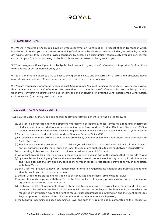

#### **9. CONFIRMATIONS**

9.1 We will, if required by Applicable Laws, give you a confirmation (Confirmation) in respect of each Transaction which Royal enters into with you. You consent to receiving Confirmation by electronic means including, for example, through any Online Service. If our service provides conditions by accessing a substantially continuously available service, you consent to your Confirmation being available by those means instead of being sent to you.

9.2 You can agree with us, if permitted by Applicable Laws, not to give you a Confirmation or to provide Confirmations to an address or person nominated by you.

9.3 Each Confirmation given by us is subject to the Applicable Laws and the correction of errors and omissions. Royal may, at any time, reissue a Confirmation in order to correct any errors or omissions.

9.4 You are responsible for promptly checking each Confirmation. You must immediately notify us if you become aware that there is an error in the Confirmation. We are entitled to assume that the Confirmation is correct unless you notify us of any error within 48 hours following us (or someone on our behalf) giving you the Confirmation or the Confirmation (or its equivalent) becoming available to you.

#### **10. CLIENT ACKNOWLEDGMENTS**

10.1 You, the Client, acknowledge and confirm to Royal for Royal's benefit in relying on the following:

- (a) you (or, if a corporate entity, the directors who apply to be bound by these Terms) have read and understood all documentation provided to you by us including these Terms and any Product Disclosure Statement (PDS) in relation to any Financial Products which you request Royal to make available to you in relation to your Account;
- (b) you have received, read and understood our Financial Services Guide (FSG);
- (c) all dealings in Financial Products and the performance by us of our obligations under these Terms are subject to Applicable Laws;
- (d) Royal relies on your representation that at all times you will be able to make payments and fulfill all commitments on your part arising under these Terms and under the conditions applicable to dealings between you and Royal;
- (e) that trading in Transactions incurs a risk of loss as well as a potential for profit;
- (f) we will not provide legal, tax, financial or accounting advice to you as part of the services that we provide to you;
- (g) by these Terms (including any Transaction made under it ) we do not act in a fiduciary capacity in relation to you and Royal does not owe any fiduciary obligations to you in respect of its services provided to you in connection with these Terms;
- (h) the Client will provide to Royal on request such information regarding its financial and business affairs and identity, as Royal mayreasonably require;
- (i) that all Orders to be placed and all trading to be conducted under these Terms must be lawful;
- (j) in executing and complying with these Terms, the Client will not infringe any provisions of any other document or agreement to which the Client is a party;
- (k) the Client will take all reasonable steps to obtain and to communicate to Royal all information, and will deliver or cause to be delivered to Royal all documents with respect to dealings in the Financial Products which are requested by any person having the right to request such documents and information and the Client authorizes Royal to pass on or deliver all such information and documents to any such person;
- (l) the Client will indemnify and keep indemnified Royal and each of its related bodies corporate and their respective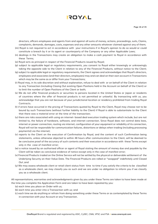

directors, officers employees and agents from and against all sums of money, actions, proceedings, suits, Claims, complaints, demands, damages, costs, expenses and any other amounts whatever claimed against any of them;

- (m) Royal is not required to act in accordance with your instructions if in Royal's opinion to do so would or could constitute a breach by it or its agent or counterparty of the Company or any other Applicable Laws;
- (n) dealings in the Transactions may create an obligation to make a cash payment to Royal in accordance with these Terms;
- (o) Royal acts as principal in respect of the Financial Products issued by Royal;
- (p) subject to applicable legal or regulatory requirements, you consent to Royal either knowingly or unknowingly taking the opposite side to the Client in relation to any of the Financial Products, without notice to the Client;
- (q) subject to applicable legal or regulatory requirements, the Client agrees and acknowledges that Royal's directors, employees and associates (and their directors, employees) may and can deal on their own account in Transactions which may be the same as or differ from your Transactions;
- (r) Royal may, in its sole discretion and without explanation, refuse to deal with or on behalf of the Client in relation to any Transaction (including Closing Out existing Open Positions held in the Account on behalf of the Client) or to limit the number of Open Positions of the Client or both;
- (s) We do not offer financial products or securities to persons located in the United States or Japan or residents of countries where the offer of financial products is not permitted or unlawful. By transacting with us, you acknowledge that you are not because of your jurisdictional location or residency prohibited from trading Royal Contracts.
- (t) if errors have occurred in the pricing of Transactions quoted by Royal to the Client, Royal may choose not to be bound by such Transactions (without further liability to the Client) if Royal is able to substantiate to the Client that there was a material error at the time of the transaction;
- (u) there are risks associated with using an internet- based deal execution trading system which include, but are not limited to, the failure of hardware, software, and internet connection. Since Royal does not control data lows, internet or power connection, routing via internet, configuration of your equipment or reliability of its connection, Royal will not be responsible for communication failures, distortions or delays when trading (including processing payments)) via the internet;
- (v) reports to the Client on the execution of Confirmation by Royal, and the content of such Confirmation being statements, unless otherwise objected to within 48 hours after communication to the Client, will be deemed to be conclusive proof of the accuracy of such contents and their execution in accordance with these Terms except only in the case of manifest error;
- (w) a notice issued by an authorised officer or agent of Royal stating the amount of money due and payable by the Client will be taken as conclusive evidence of notice except only in the case of manifest error;
- (x) Financial Products traded on the Online Service will not be settled by the physical or deliverable settlement of the Underlying Security on their Value Date. The Financial Products are rolled or "swapped" indefinitely until Closed Out ;and
- (y) We may assess wholesale client or retail client status from time to time if you satisfy the criteria to be classified as a wholesale client, we may classify you as such and we are under no obligation to inform you if we classify you as a wholesale client.

All representations, warranties and acknowledgments given by you under these Terms are taken to have been made at the time you complete the Application Form and are taken to have been repeated by you:

- (a) each time you place an Order with us;
- (b) each time you enter into a Transaction with us; and
- (c) each time we do anything or refrain from doing something under these Terms or as contemplated by these Terms in connection with your Account or any Transaction.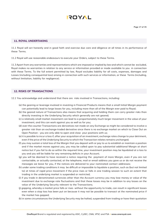#### **11. ROYAL UNDERTAKING**

11.1 Royal will act honestly and in good faith and exercise due care and diligence at all times in its performance of these Terms.

11.2 Royal will use reasonable endeavours to execute your Orders, subject to these Terms.

11.3 Apart from any warranties and representations which are imposed or implied by law and which cannot be excluded, Royal makes no warranties in relation to any service or information provided or made available to you in connection with these Terms. To the full extent permitted by law, Royal excludes liability for all costs, expenses, damages and Losses (including consequential loss) arising in connection with such services or information, or these Terms (including, without limitation, liability for negligence).

#### **12. RISKS OF TRANSACTIONS**

12.1 You acknowledge and understand that there are risks involved in Transactions, including:

- (a) the gearing or leverage involved in investing in Financial Products means that a small Initial Margin payment can potentially lead to large losses for you, including more than all of the Margin ever paid to Royal;
- (b) the geared nature of Transactions also means that acquiring and holding them can carry greater risks than directly investing in the Underlying Security which generally are not geared;
- (c) a relatively small market movement can lead to a proportionately much larger movement in the value of your investment, and this can work against you as well as for you;
- (d) over-the-counter Transactions are derivatives not made on any Exchange so might be considered to involve a greater risk than an exchange-traded derivative since there is no exchange market on which to Close Out an Open Position - you are only able to open and close your positions with us;
- (e) it is possible to incur a loss if, after your acquisition of an investment, exchange rates change to your detriment, even if the price of the Underlying Security to which the Transaction relates remains unchanged;
- (f) you may sustain a total loss of the Margin that you deposit with or pay to us to establish or maintain a position and if the market moves against you, you may be called upon to pay substantial additional Margin at short notice but if you fail to do so within the required time, your investment position may be liquidated at a loss to you and you will be liable for any remaining deficits in your Account;
- (g) you will be deemed to have received a notice requiring the payment of more Margin, even if you are not contactable, or actually contacted, at the telephone, mail or email address you gave us or do not receive the messages we leave for you, if the notices are delivered to your nominated contact addresses;
- (h) under some trading conditions it may be difficult or impossible to liquidate a position, such as (but not limited to) at times of rapid price movement if the price rises or falls in one trading session to such an extent that trading in the underlying market is suspended or restricted;
- (i) if you trade in denominated currencies other than the Account currency you may lose money or value of the investment due to exchange rate fluctuations and that these losses may be in addition to any losses on the value of the Underlying Security relevant to the Transactions;
- (j) gapping, whereby a market price falls or rises without the opportunity to trade, can result in significant losses even when a stop loss has been put on because it may not be possible to transact at the nominated price if the market has gapped;
- (k) in some circumstances the Underlying Security may be halted, suspended from trading or have their quotation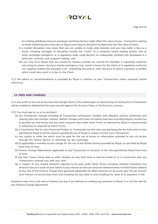

for trading withdrawn from an exchange and these factors might affect the value of your Transaction relating to those Underlying Securities due to Royal exercising its discretion to determine the fair value of them;

- (l) a market disruption may mean that you are unable to trade when desired, and you may suffer a loss as a result, including examples of disruption include the "crash" of a computer based trading system, free or other exchange emergency or a regulatory body could declare an undesirable situation has developed in a particular contract and suspend trading; and
- (m) you may incur losses that are caused by matters outside our control for example, a regulatory authority exercising its powers during a market emergency may result in losses for the Client or a regulatory authority can suspend trading (for example in an Underlying Security) or alter the price at which a position is settled, which could also result in a loss to the Client.

12.2 No advice or recommendation is provided by Royal in relation to your Transactions unless expressly stated otherwise.

## **13. FEES AND CHARGES**

13.1 Any profit or loss net of any fees and charges (that is, the realised gain or loss) arising on Closing Out a Transaction will be credited or debited (as the case may be) against the Account Value, in the Account currency.

13.2 You must pay to us or as we direct:

- (a) any Transaction charges including all Transaction commission, charges, fees, Margins, premia, settlement and clearing fees and charges, interest, default charges and Taxes (including taxes but excluding Royal's income tax or penalty tax and levies) and any other amounts due under these Terms on demand by Royal in cleared funds or otherwise as required by these Terms;
- (b) a Transaction Fee for each Financial Product or Transaction (as the case may be) being the fee from time to time specified by Royal to be the amount payable by you to Royal in respect of each such Transaction;
- (c) any royalty or other fee which must be paid for the use of prices or information provided to you via access through the Online Service or otherwise by any exchange;
- (d) (if applicable) a monthly access charge for the use of the Online Service provided by Royal, as specified by Royal from time to time;
- (e) Finance Charge Adjustments applicable to any Transaction or Account, at the rate specified by Royal from time to time;
- (f) any fees, Taxes, stamp duty or other charges as may from time to time be levied on or in connection with any Transactions entered into with you; and
- (g) in respect of any unpaid amounts required to be paid under these Terms including, (without limitation) any amounts due as a result of your failure to pay interest on all such amounts (denominated in United States dollars) at the rate of the Finance Charge then generally applicable for debit amounts on Accounts plus 4% per annum, such interest to accrue daily from and including the due date to and including the date of its payment in full.

Guidance note: this is the rate of interest you pay if you default on making any payment to Royal. It is not the rate for any Finance Charge Adjustment.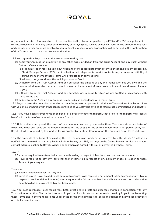

Any amount or rate or formula which is to be specified by Royal may be specified by a PDS and/or FSG, a supplementary disclosure document or in any other permitted way of notifying you, such as on Royal's website. The amount of any fees and charges or other amounts payable by you to Royal in respect of any Transaction will be set out in the Confirmation of that Transaction to the extent known at the time.

13.3 You agree that Royal may, to the extent permitted by law:

- (a) debit your Account (on a monthly or any other basis) or deduct from the Trust Account and pay itself, without further reference to you:
	- (i) all administration fees, including but not limited to fees associated with returned cheques, payment processing, Short Message Service (SMS), debt collection and telephone transcript copies from your Account with Royal during the full term of these Terms while you use such services; and
	- (ii) all fees, charges and royalties which you owe to Royal;
- (b) withdraw from the Trust Account and pay ourselves the amount of any the Transaction Fee you owe and the amount of Margin which you must pay to maintain the required Margin Cover or to meet any Margin call made to you;
- (c) withdraw from the Trust Account and pay ourselves any moneys to which we are entitled in accordance with these Terms and
- (d) deduct from the Account any amount reimbursable in accordance with these Terms.

13.4 Royal may receive commissions and other benefits, from other parties, in relation to Transactions Royal enters into with you or in connection with other services provided to you. Royal is entitled to retain such commissions and benefits.

13.5 If you have been referred to us or on behalf of a broker or other third party, that broker or third party may receive benefits in the form of a commission or rebate from us.

13.6 Unless otherwise agreed, the terms of any amounts payable by you under these Terms are stated exclusive of taxes. You must pay taxes on the amount charged for the supply of the service, unless that is not permitted by law. Royal will when required by law and as far as practicable state in Confirmation the amounts as all taxes inclusive.

13.7 The amounts of or basis of calculating the fees, commissions and charges referred to in this clause 13 will be as notified from time to time in writing by Royal, either by way of a PDS, postings on the Online Service, notification to your contact address, posting to Royal's website or as otherwise agreed with you or permitted by these Terms.

13.8 If:

- (a) you are required to make a deduction or withholding in respect of Tax from any payment to be made; or
- (b) Royal is required to pay any Tax (other than income tax) in respect of any payment made in relation to these Terms at your request,

Then you:

- (c) indemnify Royal against the Tax; and
- (d) agree to pay to Royal an additional amount to ensure Royal receives a net amount (after payment of any Tax in respect of each additional amount) that is equal to the full amount Royal would have received had a deduction or withholding or payment of Tax not been made.

13.9 You must reimburse Royal for all fees (both direct and indirect) and expenses charged in connection with any Transaction (other than Tax on the income of Royal) and for all costs and expenses incurred by Royal in implementing these Terms and in enforcing its rights under these Terms (including its legal costs of external or internal legal advisers on a full indemnity basis).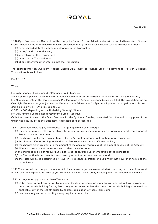13.10 Open Positions held Overnight will be charged a Finance Charge Adjustment or will be entitled to receive a Finance Credit Adjustment as determined by Royal on an Account at any time chosen by Royal, such as (without limitation):

- (a) either immediately at the time of entering into the Transaction;
- (b) at day's end, or month's end;
- (c) at a rollover of the Transaction;
- (d) at end of the Transaction; or
- (e) at any other time after entering into the Transaction.

The calculationfor an Overnight Finance Charge Adjustment or Finance Credit Adjustment for Foreign Exchange Transactions is as follows:

 $F = S * L * P$ 

Where:

F = Daily Finance Charge (negative)/Finance Credit (positive)

S = Swap Rate (positive or negative) or notional value of interest earned/paid for deposit/ borrowing of currency

L = Number of Lots in the terms currency P = Pip Value in Account currency based on 1 Lot The calculation for an Overnight Finance Charge Adjustment or Finance Credit Adjustment for Synthetic Equities is charged on a daily basis and is as follows:  $F = CV \times (BR/360 \text{ or } 365^*)$ 

(\* 360 or 365, depending on the Underlying Security). Where:

F = Daily Finance Charge (negative)/Finance Credit (positive)

CV is the current value of the Open Positions for the Synthetic Equities, calculated from the end of day price of the underlying security BR is the Base Rate (expressed as a percentage)

13.11 You remain liable to pay the Finance Charge Adjustment even though:

- (a) the charge may be called other things from time to time, even across different Accounts or different Financial Products at the same time;
- (b) the charge is not stated on a statement for an Account or interim Confirmation for a Transaction;
- (c) the charges differ according to whether the Transaction was made offline or on-line;
- (d) the charges differ according to the amount of the Account, regardless of the amount or value of the Account;
- (e) different rates apply at the same time to other clients' accounts;
- (f) the charge is applied at rollover but is not levied or enforced until termination of the Transaction;
- (g) the Transaction is denominated in a currency other than Account currency; and
- (h) the rates will be as determined by Royal in its absolute discretion and you might not have prior notice of the current rate.

13.12 You acknowledge that you are responsible for your own legal costs associated with entering into these Terms and for all Taxes and expenses incurred by you in connection with these Terms, including any Transaction made under it.

#### 13.13 All payments by you under these Terms are:

- (a) to be made without any set-off by you, counter claim or condition made by you and without you making any deduction or withholding for any Tax or any other reason unless the deduction or withholding is required by applicable law or the set-off arises by express application of these Terms; and
- (b) payable in any currency that Royal may require or determine.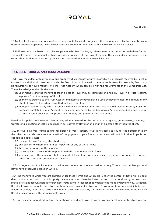13.14 Royal will give notice to you of any change in its fees and charges or other amounts payable by these Terms in accordance with Applicable Laws except rates will change at any time, as available via the Online Service.

13.15 If taxes are payable on a taxable supply made by Royal under, by reference to, or in connection with these Terms, you must also pay the amount of taxes payable in respect of that taxable supply. This clause does not apply to the extent that consideration for a supply is expressly stated to you to be taxes inclusive.

#### **14. CLIENT MONEYS AND TRUST ACCOUNT**

14.1 Royal must deal with any money and property which you pay or give to, or which is otherwise received by Royal in connection with financial services provided by Royal, in accordance with the Applicable Laws. For example, Royal may be required to pay such moneys into the Trust Account which complies with the requirements of the Companies Act. You acknowledge and authorise that:

- (a) your moneys and the moneys of other clients of Royal may be combined and held by Royal in a Trust Account, separate from the moneys of Royal;
- (b) all moneys credited to the Trust Account maintained by Royal may be used by Royal to meet the default of any client of Royal to the extent permitted by the laws in force;
- (c) moneys credited to any Trust Account maintained by Royal under the laws in force may be used by Royal for purposes unrelated to your Account to the extent permitted by the Companies Act and accordingly such use of a Trust Account does not fully protect your money and property from risk of loss.

Retail and sophisticated investor client money will not be used for the purpose of margining, guaranteeing, securing, transferring, adjusting or settling dealings in derivatives by Royal or on behalf of a person other than the client.

14.2 If Royal pays your funds to another person at your request, Royal is not liable to you for the performance by the other person who receives the benefit of the payment of your funds. In particular, without limitation, Royal is not obliged to enquire into:

- (a) the use of those funds by the third party;
- (b) any persons to whom the third party pays all or any of these funds;
- (c) the solvency of any of those persons;
- (d) the compliance by any of those people with the Laws and Rules in force;
- (e) whether any of those persons hold any part of these funds on any nominee, segregated account, trust or any other basis for your protection or security

14.3 You agree that Royal is entitled to all interest earned on moneys credited to any Trust Account unless you and Royal have otherwise agreed in writing.

14.4 The moneys to which you are entitled under these Terms and which are under the control of Royal will be paid directly to you and not to any third party, unless you have otherwise instructed us to do so and we agree. You must provide relevant account details for payment instructions in respect of payments to be made by Royal to you. Although Royal will take reasonable steps to comply with your payment instructions, Royal accepts no responsibility for any failure to comply with those instructions and, if such failure occurs, the relevant moneys will continue to be held by Royal in accordance with the Applicable Laws.

14.5 To the extent permitted by law, you authorise and direct Royal to withdraw any or all moneys to which you are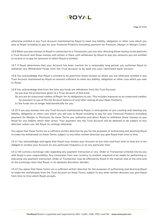## **AYOT!**

otherwise entitled in any Trust Account maintained by Royal to meet any liability, obligation or other Loss which you owe to Royal including to pay for your Financial Products (including payment for Premium, Margin or Margin Cover).

14.6 When you pay moneys to Royal in connection to a Transaction, you are also directing those moneys to be paid into a Trust Account and those moneys will remain in there until withdrawn by Royal to pay you amounts you are entitled to receive or to pay for amounts to which Royal is entitled.

14.7 If Royal determines that your Account has been inactive for a reasonably long period, you authorise Royal to withdraw any Withdrawal Funds from the Trust Account to be paid into your nominated bank account.

14.8 You acknowledge that Royal is entitled to be paid from those moneys to which you are otherwise entitled in any Trust Account maintained by Royal an amount sufficient to meet any liability, obligation or other Loss which you owe to Royal.

14.9 You acknowledge that from the time any funds are withdrawn from the Trust Account:

- (a) you lose the protections given to a Trust Account of that kind;
- (b) you are an unsecured creditor of Royal for its obligations to you. This includes exposure as an unsecured creditor for payment to you of the net Account balance (if any) after closing all your Open Positions;
- (c) the funds are no longer held beneficially for you.

14.10 If you pay moneys into any Trust Account maintained by Royal, in anticipation of you creating and meeting any liability, obligation or other Loss which you will owe to Royal including to pay for your Financial Products (including payment for Margin or Premium), by these Terms you authorise and direct Royal to withdraw those moneys to pay Royal for any liability which later arises. Your payment into the Trust Account will be deemed to be subject to this direction unless you tell Royal (in writing) otherwise.

You agree that these Terms are a sufficient written direction by you for the purposes of authorising and directing Royal to make the withdrawal on these Terms, subject to any other written direction you give Royal from time to time.

14.11 You acknowledge and agree that Royal may revalue your Account at any time and from time to time but is not obliged to revalue your Account on any particular frequency or at any particular time.

14.12 All currency exchange risks regarding any payment instruction or any Order or Transaction entered into by you with Royal is your responsibility. Any conversion from one currency to another required to be made for performing or executing any payment instruction, Order or Transaction may be effected by Royal in the manner and at the time and at the exchange rates that Royal, in its absolute discretion, decides.

14.13 You agree that these Terms are a sufficient written direction for the purposes of authorising and directing Royal to make the withdrawals from the Trust Account on these Terms, subject to any other written direction you give Royal from time to time which Royal accepts.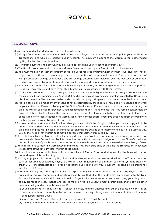#### **15. MARGIN COVER**

- 15.1 You agree and acknowledge with each of the following:
	- (a) Margin Cover refers to the amount paid or payable to Royal as it requires (to protect against your liabilities on Transactions) and which is credited to your Account. The minimum amount of the Margin Cover is determined by Royal in its absolute discretion.
	- (b) A Margin payment is the amount you pay Royal for crediting your Account as Margin Cover.
	- (c) The time for your payment to maintain Margin Cover and to satisfy any Margin call is of the essence.
	- (d) You must maintain at least the amount of Margin Cover required by Royal whether or not Royal gives any notice to you to make those payments or you have actual notice of the required amount. The required amount of Margin Cover can change continuously and can change automatically, including over the weekend or other nontrading days. Your obligation to maintain at least the required amount of Margin Cover is continuous.
	- (e) You must ensure that for so long that you have an Open Position, the Free Margin must always remain positive. If not, you may receive and have to satisfy a Margin call in accordance with these Terms.
	- (f) You have an obligation to satisfy a Margin call (in addition to your obligation to maintain Margin Cover) within the required time by any combination of Closing Out positions or making payments (or both) as accepted by Royal, in its absolute discretion. The payments to be made towards satisfying a Margin call must be made to the Trust Account.
	- (g) Margin calls may be made by any means of notice permitted by these Terms, including by telephone call to you or your Authorised Person or by way of the Online Service (even if you do not access your Account during the time the Margin call requires payment). You acknowledge that it is fundamental that you remain contactable by Royal at all times by Royal using the contact details you give Royal from time to time and that your failure to be contactable or to receive notice of a Margin call at any contact address you give does not affect the validity of the Margin call or your obligation to satisfy it.
	- (h) If no other time is stipulated by Royal for when you must satisfy the Margin call then you must comply within 24 hours of the Margin call being made, even if you have not received it or are actually aware of it and even if the time of making the Margin call or the time for satisfying it are outside of normal working hours of a Business Day. You acknowledge that Margin calls may be payable immediately if required by Royal.
	- (i) If you fail to satisfy the Margin call by the required time, then Royal may (without prejudice to any other rights or powers under these Terms) in its absolute discretion, and without creating an obligation to do so, Close Out, without notice, all or some of your Transactions, whether or not those Transactions caused the need for more Margin Cover.
	- (j) Your obligations to maintain Margin Cover and to satisfy Margin calls arise at the time the Transaction is executed irrespective of the time any later Margin call is made.
	- (k) It is solely your responsibility to monitor and to satisfy all Margin Cover and Margin call obligations, whether or not a Margin call is notified to you.
	- (l) A Margin payment is credited by Royal at the time cleared funds have been received into the Trust Account or such earlier time as allowed by Royal, so a Margin Cover requirement or a Margin call for a Synthetic Equity or other OTC Transaction issued by Royal is not satisfied unless and until your payment is received in cleared funds into the Trust Account.
	- (m) Without limiting any other right of Royal, in respect of any Financial Product issued to you by Royal acting as principal to you, you authorise and direct, by these Terms, that all of the funds which you deposit into the Trust Account be immediately withdrawn and paid to Royal for its own account, towards satisfying your obligations to pay Transaction Fees, Finance Charges, to maintain Margin Cover, to meet Margin calls, and to pay all other amounts owing under these Terms, even if:
		- (i) your payment (after deduction for Transaction Fees, Finance Charges and other amounts owing) is in an amount less than or more than the amount required to satisfy a Margin call or to maintain the total amount of required Margin Cover;
		- (ii) more than one Margin call is made after your payment to a Trust Account;
		- (iii) the required amount of Margin Cover reduces after your payment to a Trust Account;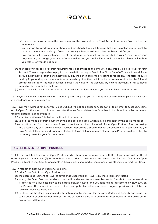

- (iv) there is any delay between the time you make the payment to the Trust Account and when Royal makes the withdrawal;
- (v) you purport to withdraw your authority and direction but you still have at that time an obligation to Royal to maintain an amount of Margin Cover or to satisfy a Margin call which has not been satisfied; or
- (vi) you do not tell us your intended use of the Margin Cover which will be directed to your Account after your payment or you change your mind after you tell us and you deal in Financial Products for a lesser value than you told us or you do not deal.
- (n) Your liability in respect of Margin requirements is not limited to the amount, if any, initially paid to Royal for your Account. You are responsible to pay in cash any deficit owing to Royal after Close Out of a Transaction and if you default in payment of such deficit, Royal may pay the deficit out of the Account or realise any Financial Products held by Royal and apply the amounts or proceeds against that deficit and you are responsible for the full and prompt discharge of the deficit (which exceeds the value of the Account) by making payment in full to Royal immediately when that deficit arises.
- (o) Where money is held in an account that is inactive for at least 6 years, you may make a claim to retrieve it.

15.2 Royal may make Margin calls more frequently than daily and you must fully and punctually comply with such calls in accordance with this clause 15.

15.3 Royal may (without notice to you) Close Out, but will not be obliged to Close Out or to attempt to Close Out, some or all Open Positions, at that time or any later time as Royal determines (whether in its discretion or by automatic trading platform management) if:

- (a) your Account Value falls below the Liquidation Level; or
- (b) you fail to make a Margin payment by the due date and time, which may be immediately the call is made; or
- (c) at any time, and from time to time, Royal determines that the value of all of your Open Positions (and not taking into account any cash balance in your Account) represents a substantial net unrealised loss to you such that, in Royal's belief, the continued trading, or failure to Close Out, one or more of your Open Positions will or is likely to materially prejudice your Account Value.

#### **16. SETTLEMENT OF OPEN POSITONS**

16.1 If you want to Close Out an Open Position earlier than by other agreement with Royal, you must instruct Royal accordingly with at least two (2) Business Days' notice prior to the intended settlement date for Close Out of any Open Position, subject to the Rules (if applicable to Royal), prevailing market conditions or as otherwise agreed with Royal.

#### 16.2 In respect of each Open Position, subject to:

- (a) prior Close Out of that Open Position; or
- (b) the express agreement of Royal to settle that Open Position, Royal is by these Terms instructed:
- (c) to vary the Open Position (in which case it will be deemed to be a new Transaction) so that its settlement date is deferred to a Business Day to be agreed between Royal and you (and failing agreement by 5:00 p.m. on the Business Day immediately prior to the then applicable settlement date as agreed previously, it will be the following Business Day); and
- (d) to Close Out the Open Position and enter into a new Transaction for the same Underlying Security and being the same bought or sold position except that the settlement date is to be one Business Day later and adjusted for any interest differential.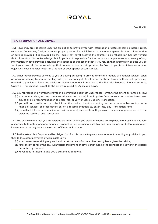

#### **17. INFORMATION AND ADVICE**

17.1 Royal may provide (but is under no obligation to provide) you with information or data concerning interest rates, securities, Derivatives, foreign currency, property, other Financial Products or markets generally. If such information or data is provided, it is provided on the basis that Royal believes the sources to be reliable but has not verified that information. You acknowledge that Royal is not responsible for the accuracy, completeness or currency of any information or data provided (including the sequence of trades) and that if you rely on that information or data you do so at your own risk. You acknowledge that no information or data provided by Royal to you takes into account your objectives, your financial needs or situation or your special circumstances.

17.2 When Royal provides services to you (including agreeing to provide Financial Products or financial services, open an Account, issuing to you, or dealing with you, as principal) Royal is not by these Terms or those acts providing, required to provide, or liable for, advice or recommendations in relation to the Financial Products, financial services, Orders or Transactions, except to the extent required by Applicable Laws.

- 17.3 You represent and warrant to Royal on a continuing basis that under these Terms, to the extent permitted by law: (a) you are not relying on any communication (written or oral) from Royal as financial services or other investment advice or as a recommendation to enter into, or vary or Close Out, any Transaction;
	- (b) you will not consider or treat the information and explanations relating to the terms of a Transaction to be financial services or other advice on, or a recommendation to, enter into, any Transaction; and
	- (c) you will not take any communication (written or oral) received from Royal as an assurance or guarantee as to the expected results of any Transaction.

17.4 You acknowledge that you are responsible for all Orders you place, or choose not to place, with Royal and it is your responsibility to obtain personal Financial Product advice (including legal, tax and financial advice) before making any investment or trading decision in respect of Financial Products.

17.5 To the extent that Royal would be obliged (but for this clause) to give you a statement recording any advice to you, then to the extent permitted by Applicable Laws:

- (a) you consent to receiving any such written statement of advice after having been given the advice;
- (b) you consent to receiving any such written statement of advice after making the Transaction but within the period permitted by law; and
- (c) Royal does not need to give you a statement of advice.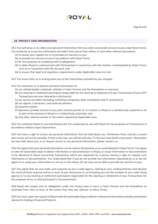

#### **18. PRIVACY AND INFORMATION**

18.1 You authorise us to collect your personal information from you when we provide services to you under these Terms. You authorise us to use any information we collect from you or from others, or such other relevant documents:

- (a) to assess your request for us to provide our services to you;
- (b) to provide our services to you in accordance with these Terms;
- (c) for the purposes of complying with its obligations
- (d) to allow Royal to communicate with third parties in connection with the matters contemplated by these Terms, such as in connection with the Account; and
- (e) to ensure that legal and regulatory requirements under Applicable Laws are met.
- 18.2 You must notify us in writing when any of the information provided by you changes.
- 18.3 You authorise us to disclose personal information to:
	- (a) our related bodies corporate, whether in Saint Vincent and the Grenadines or overseas;
	- (b) any clearing or settlement participant responsible for the clearing or settlement of your Transactions (if your OTC Transactions are ever cleared by a third party);
	- (c) our service providers (including marketing companies, data consultants and IT contractors);
	- (d) our agents, contractors, and external advisers;
	- (e) payment system
	- (f) operators; provide services to you; joint venture partner of, or investor in, Royal or a related body corporate or all or part of the business of Royal or a related body corporate; and
	- (g) any other relevant person to the extent required by Applicable Laws.

18.4 You authorise Royal to use and disclose the Tax conducted by you with Royal for the purposes of Transactions in accordance withany legal requirement.

18.5 You have a right to access any personal information that we hold about you. Sometimes there may be a reason why access will not be possible. If that is the case, you will be told why. To find out what kinds of personal information we may hold about you, or to request access to any personal information, please contact us.

18.6 You agree that your personal information can be used or disclosed by us as contemplated in these Terms. You agree to take all reasonable steps to deliver information or documentation to Royal, or cause information or documentation to be delivered to Royal concerning Transactions which are requested by a person having a right to request such information or documentation. You understand that if you do not provide any information requested by us or do not agree to us using your information as set out in this clause 18, we may not be able to provide our services to you.

18.7 You agree that we may make such enquiries as we a credit agency, relating to your creditworthiness and disclose the result of those enquires and as a result of your disclosures to us (including your tax file number) to any credit rating agency or to any clearing or settlement participant responsible for the clearing or settlement of your Transactions for the purposes of our or that participant's risk assessment.

18.8 Royal will comply with its obligations under the Privacy laws in force in Saint Vincent and the Grenadines as amended from time to time, to the extent that they are relevant to these Terms.

18.9 You must, upon the request of Royal, take all reasonable steps to deliver to Royal all information and documentation relevant to trading in Financial Products.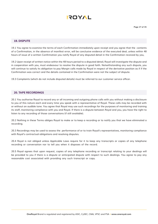

#### **19. DISPUTE**

19.1 You agree to examine the terms of each Confirmation immediately upon receipt and you agree that the contents of a Confirmation, in the absence of manifest error, will be conclusive evidence of the executed deal, unless within 48 hours of issue of a written Confirmation you notify Royal of any disputed detail in the Confirmation received by you,

19.2 Upon receipt of written notice within the 48 hours period to a disputed detail, Royal will investigate the dispute and in cooperation with you, must endeavour to resolve the dispute in good faith. Notwithstanding any such dispute, you will continue to satisfy its obligation to pay Margin calls made by Royal in respect of the derivative position as if if the Confirmation was correct and the details contained in the Confirmation were not the subject of dispute.

19.3 Complaints (which do not include disputed details) must be referred to our customer service officer.

## **20. TAPE RECORDINGS**

20.1 You authorise Royal to record any or all incoming and outgoing phone calls with you without making a disclosure to you of this nature each and every time you speak with a representative of Royal. These calls may be recorded with or without an audible tone. You agree that Royal may use such recordings for the purposes of monitoring and training its staff, monitoring compliance with you and Royal. If there is a dispute between Royal and you, you have the right to listen to any recording of those conversations (if still available).

20.2 Nothing in these Terms obliges Royal to make or to keep a recording or to notify you that we have eliminated a recording.

20.3 Recordings may be used to assess the performance of or to train Royal's representatives, monitoring compliance with Royal's contractual obligations and resolving disputes.

20.4 Royal is not obliged unless Applicable Laws require for it to keep any transcripts or copies of any telephone recording or conversation nor to tell you when it disposes of the record.

20.5 Royal agrees that upon request, copies of any telephone recording or transcript relating to your dealings will be provided to you if there is a dispute or anticipated dispute with respect to such dealings. You agree to pay any reasonable cost associated with providing any such transcript or copy.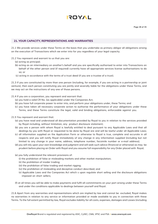## **21. YOUR CAPACITY, REPRESENTATIONS AND WARRANTIES**

21.1 We provide services under these Terms on the basis that you undertake as primary obligor all obligations arising on the execution of Transactions which we enter into for you regardless of your legal capacity.

- 21.2 You represent and warrant to us that you are:
	- (a) acting as principal;
	- (b) acting as an intermediary on another's behalf and you are specifically authorised to enter into Transactions on behalf of the other person and (if required) currently have all appropriate services license authorisations to do so; or
	- (c) acting in accordance with the terms of a trust deed (if you are a trustee of a trust).

21.3 If you are constituted by more than one person (including, for example, if you are acting in a partnership or joint venture), then each person constituting you are jointly and severally liable for the obligations under these Terms, and we may act on the instructions of any one of those persons.

- 21.4 If you are a corporation, you represent and warrant that:
	- (a) you hold a valid CR No. (as applicable) under the Companies Act;
	- (b) you have full corporate power to enter into, and perform your obligations under, these Terms; and
	- (c) you have taken all necessary corporate action to authorise the performance of your obligations under these Terms, and these Terms constitute the legal, valid and binding obligations, enforceable against you.
- 21.5 You represent and warrant that:
	- (a) you have read and understood all documentation provided by Royal to you in relation to the services provided by Royal including, without limitation, any product disclosure statement;
	- (b) you are a person with whom Royal is lawfully entitled to deal pursuant to any Applicable Laws and that all dealings by you with Royal or requested to be done by Royal are and will be lawful under all Applicable Laws;
	- (c) all information supplied on the Application Form or otherwise to Royal is true, complete and accurate in all respects and you will notify Royal immediately of any change in any information supplied (including but not limited to any change in your name, address, telephone number, facsimile number or e-mail address);
	- (d) you will rely upon your own knowledge and judgment and will seek such advice (financial or otherwise) as may be prudent before placing an Order with Royal and you assume full responsibility for any Order placed with Royal;
	- (e) you fully understand the relevant provisions of:
		- (i) the prohibition of false or misleading markets and other market manipulation;
		- (ii) the prohibition of insider trading;
		- (iii) the prohibition of false trading and market rigging;
		- (iv) the prohibition of misleading and deceptive conduct described; and
		- (v) Applicable Laws and the Companies Act which s upon regulate short selling and the disclosure obligations imposed on short sellers;
	- (f) at all times you will be able to make payments and fulfil all commitments on your part arising under these Terms and under the conditions applicable to dealings between yourself and Royal.

21.6 Apart from any warranties and representations which are implied by law and cannot be excluded, Royal makes no warranties in relation to any service or information provided or made available to you in connection with these Terms. To the full extent permitted by law, Royal excludes liability for all costs, expenses, damages and Losses (including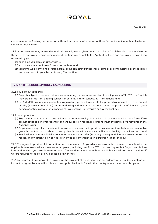consequential loss) arising in connection with such services or information, or these Terms (including, without limitation, liability for negligence).

21.7 All representations, warranties and acknowledgments given under this clause 21, Schedule 1 or elsewhere in these Terms are taken to have been made at the time you complete the Application Form and are taken to have been repeated by you:

- (a) each time you place an Order with us;
- (b) each time you enter into a Transaction with us; and
- (c) each time we do anything or refrain from doing something under these Terms or as contemplated by these Terms in connection with your Account or any Transaction.

#### **22. ANTI-TERRORISM/MONEY LAUNDERING**

- 22.1 You acknowledge that:
	- (a) Royal is subject to various anti-money laundering and counter-terrorism financing laws (AML/CTF Laws) which may prohibit us from offering services or entering into or conducting Transactions; and
	- (b) the AML/CTF Laws include prohibitions against any person dealing with the proceeds of or assets used in criminal activity (wherever committed) and from dealing with any funds or assets of, or the provision of finance to, any person or entity involved (or suspected of involvement ) in terrorism or any terrorist act.
- 22.2 You agree that:
	- (a) Royal is not required to take any action or perform any obligation under or in connection with these Terms if we are not satisfied as to your identity or if we suspect on reasonable grounds that by doing so we may breach the AML/CTF Laws;
	- (b) Royal may delay, block or refuse to make any payment or to provide any service if we believe on reasonable grounds that to do so may breach any applicable law in force, and we will incur no liability to you if we do so; and
	- (c) Royal will not incur any liability to you for any loss you suffer (including consequential loss) however caused by reason of any action taken or not taken by us as contemplated in paragraph (a) or (b) above.

22.3 You agree to provide all information and documents to Royal which we reasonably require to comply with the applicable laws law in where the account is opened, including any AML/ CTF Laws. You agree that Royal may disclose information which you provide to us, or about Transactions you have with us or which you seek to conduct with us, if we are required to do so by any applicable law or Rule.

22.4 You represent and warrant to Royal that the payment of moneys by us in accordance with this document, or any instructions given by you, will not breach any applicable law in force in the country where the account is opened.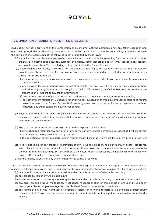

#### **23. LIMITATION OF LIABILITY, INDEMNITIES & PAYMENTS**

23.1 Subject to those provisions of the Competition and Consumer Act, the Companies Act, any other legislation and any other rights, duties or other obligations imposed or implied by law which cannot be excluded by agreement between the parties, to the extent each of the following is not prohibited by those laws:

- (a) we make no warranties either expressly or impliedly as to merchantability, suitability for a particular purpose, or otherwise (including as to accuracy, currency, availability, completeness or quality), with respect to any services we provide under these Terms including, without limitation, the Online Service;
- (b) Royal excludes all liability in contract, tort or otherwise relating to or resulting from use of any services we provide under these Terms and for any Loss incurred by you directly or indirectly, including without limitation as a result of or arising out of:
	- (i) any inaccuracy, error or delay in or omission from any information provided to you under these Terms including the Online Service;
	- (ii) any delays or failures or inaccuracies, or loss of access to, the provision of a service to you including, without limitation, any delay, failure or inaccuracy in, or the loss of access to, the Online Service or in respect of the transmission of Orders or any other information;
	- (iii) any misinterpretation of your Orders or instructions which are unclear, ambiguous, or not specific;
	- (iv) any government restriction, Exchange or market rulings, suspension of trading, computer or telephone failure, unlawful access to our Online Service, theft, sabotage, war, earthquakes, strike, force majeure and, without limitation, any other conditions beyond our control;
- (c) Royal is not liable in contract, tort (including negligence) or otherwise for any loss of prospective profits or expenses or special, indirect or consequential damages resulting from the supply of a service including, without limitation the Online Service;
- (d) Royal makes no representations or warranties either express or implied that: (i) any Exchange System (or any part of it) or any service or any services performed in respect of it will meet your requirements or the requirements of any user; or (ii) the operation of, or services performed in respect of, any Exchange System will be uninterrupted or error-free;
- (e) Royal is not liable for any breach of a provision of any relevant legislation, negligence, injury, death, lost profits, loss of files data or use, economic loss, loss or reputation or losses or damages incidental or consequential to the operation of any Exchange System, except to the extent that it is caused by the negligence or dishonesty of Royal or their employees, agents or representatives; and
- (f) Royal's liability to you is in any event limited to the supply of services.

23.2 To the fullest extent permitted by law, you release, discharge and indemnify and agree to keep Royal and its respective officers, employees, agents and representatives indemnified from and against all Claims arising out of:

- (a) any default, whether by your act or omission under these Terms or any Order or Transaction;
- (b) any breach by you of any Applicable Laws;
- (c) any representation or warranty made or given by you under these Terms proving to be untrue or incorrect;
- (d) any error, omission, fraud, malfeasance, negligence, misappropriation or criminal act or omission by you or by any of your clients, employees, agents or Authorised Persons, consultants or servants;
- (e) any failure of any of your computer or electronic systems or networks to perform, be available or successfully transmit data to Royal, or any error or inadequacy in the data or information input into such systems or networks by you;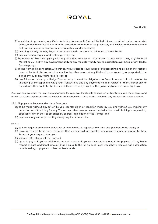- (f) any delays in processing any Order including, for example (but not limited to), as a result of systems or market delays, or due to verification or faltering procedures or unauthorised processes, email delays or due to telephone call waiting time or adherence to internal policies and procedures;
- (g) anything lawfully done by Royal in accordance with, pursuant or incidental to these Terms;
- (h) any instruction, request or direction given by you;
- (i) by reason of Royal complying with any direction, request or requirement of Applicable Laws, any Financial Market or CS Facility, any government body or any regulatory body having jurisdiction over Royal or any Hedge Counterparty;
- (j) arising from and in connection with or in any way related to Royal in good faith accepting and acting on instructions received by facsimile transmission, email or by other means of any kind which are signed by or purported to be signed by you or any Authorised Person; or
- (k) any failure or delay by a Hedge Counterparty to meet its obligations to Royal in respect of or in relation to (including by corresponding with) your Transactions and any payments made in respect of them, except only to the extent attributable to the breach of these Terms by Royal or the gross negligence or fraud by Royal.

23.3 You acknowledge that you are responsible for your own legal costs associated with entering into these Terms and for all Taxes and expenses incurred by you in connection with these Terms, including any Transaction made under it.

- 23.4 All payments by you under these Terms are:
	- (a) to be made without any set-off by you, counter claim or condition made by you and without you making any deduction or withholding for any Tax or any other reason unless the deduction or withholding is required by applicable law or the set-off arises by express application of the Terms; and
	- (b) payable in any currency that Royal may require or determine.
- 23.5 If:
	- (a) you are required to make a deduction or withholding in respect of Tax from any payment to be made; or
	- (b) Royal is required to pay any Tax (other than income tax) in respect of any payment made in relation to these Terms at your request, then you:
	- (c) indemnify Royal against the Tax; and
	- (d) agree to pay to Royal an additional amount to ensure Royal receives a net amount (after payment of any Tax in respect of each additional amount) that is equal to the full amount Royal would have received had a deduction or withholding or payment of Tax not been made.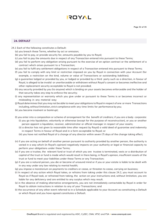#### **24. DEFAULT**

- 24.1 Each of the following constitutes a Default:
	- (a) you breach these Terms, whether by act or omission;
	- (b) you fail to pay, or provide security for, amounts payable by you to Royal;
	- (c) you fail to pay the amounts due in respect of any Transaction entered into pursuant to these Terms;
	- (d) you fail to perform any obligation arising pursuant to the exercise of an option contract or the settlement of a contract which arises pursuant to a Transaction;
	- (e) you fail to fulfil any settlement obligations in respect of a Transaction entered into pursuant to these Terms;
	- (f) you fail to comply with any limit or restriction imposed on you by Royal in connection with your Account (for example, a restriction on the kind, volume or value of Transactions or outstanding liabilities);
	- (g) a guarantee lodged or provided by you, or lodged or provided by a third party such as a direction, in favour of Royal, is alleged to be invalid or unenforceable or withdrawn without Royal's consent or becomes ineffective and other replacement security acceptable to Royal is not provided;
	- (h) any security provided by you (to anyone) which is binding on your assets becomes enforceable and the holder of that security takes any step to enforce the security;
	- (i) any representation or warranty which you give under or pursuant to these Terms is or becomes incorrect or misleading in any material way;
	- (j) Royal determines that you may not be able to meet your obligations to Royal in respect of one or more Transactions including, without limitation, strict compliance with any time limits for performance by you;
	- (k) you become insolvent or bankrupt;
	- (l) you enter into a composition or scheme of arrangement for the benefit of creditors; if you are a body corporate: (i) you go into liquidation, voluntarily or otherwise (except for the purpose of reconstruction), or you or another person appoint a liquidator, receiver, administrator or official manager in respect of your assets;
		- (ii) a director has not given (a reasonable time after request by Royal) a valid deed of guarantee and indemnity in respect Terms in favour of Royal and in a form acceptable to Royal; or
		- (iii) you have not notified Royal of a change of any director within seven (7) days of the change taking effect;
	- (n) if you are acting on behalf of another person pursuant to authority provided by another person, the authority is varied in a way which (in Royal's opinion) negatively impacts on your authority or legal or financial capacity to perform your obligations under these Terms;
	- (o) if you are a trustee, the relevant fund or trust of which you are trustee is terminated, vests or a distribution of capital of the trust or fund is made which would result in there being, in Royal's opinion, insufficient assets of the trust or fund to meet your liabilities under these Terms or any Transaction;
	- (p) if you are a natural person, you die or become of unsound mind or if you or your estate is liable to be dealt with in any way under any law relating to mental health;
	- (q) you impose a moratorium on payments to creditors or cease, or threaten to cease, carrying on business;
	- (r) In respect of any action which Royal takes, or refrains from taking under this clause 24.2, you must account to Royal as if Royal took, or refrained from taking, the action on your instructions and, without limitation, you are liable for any deficiency and are entitled to any surplus which may result.
	- (s) in the absence of making alternative arrangements, you are not immediately contactable by Royal in order for Royal to obtain instructions in relation to any of your Transactions; and
	- (t) the occurrence of any other event referred to in a Schedule applicable to your Account as constituting a Default or which Royal and you have agreed constitutes a Default.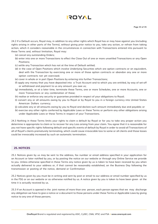# **AYOT!**

24.2 If a Default occurs, Royal may, in addition to any other rights which Royal has or may have against you (including rights arising in other parts of the Terms), without giving prior notice to you, take any action, or refrain from taking action, which it considers reasonable in the circumstances in connection with Transactions entered into pursuant to these Terms and, without limitation, Royal may:

- (a) cancel any outstanding Orders;
- (b) enter into one or more Transactions to effect the Close Out of one or more unsettled Transactions or any Open Positions;
- (c) settle any Transaction which has not at the time of Default settled;
- (d) in the case of Open Positions which involve Underlying Securities which are option contracts or an equivalent, deal with the Transaction by exercising one or more of those option contracts or abandon any one or more option contracts not yet exercised;
- (e) cover in whole or in part Open Positions by entering into further Transactions;
- (f) apply any money that you have deposited into a Trust Account and to which you are entitled, by way of set-off or withdrawal and payment to us any amount you owe us;
- (g) immediately, or at a later time, terminate these Terms, one or more Schedules, one or more Accounts, one or more Transactions or any combination of these;
- (h) realise or enforce any security or guarantee provided in respect of your obligations to Royal;
- (i) convert any or all amounts owing by you to Royal or by Royal to you in a foreign currency into United States American Dollars currency;
- (j) calculate any or all amounts owing by you to Royal and declare such amount immediately due and payable; or
- (k) exercise any other rights conferred by Applicable Laws or these Terms or perform any other obligations arising under Applicable Laws or these Terms in respect of your Transactions.

24.3 Nothing in these Terms limits your rights to claim a default by Royal or for you to take any proper action you determine is appropriate to claim or to recover for any Loss arising from your claim. You agree that it is reasonable for you not have specific rights following default and specific events of default by Royal in order to avoid all Transactions of all of Royal's clients prematurely terminating, which could cause irrevocable loss to some or all clients and those losses could be irrevocably increased by such an automatic termination.

## **25. NOTICES**

25.1 Notices given by us may be sent to the address, fax number or email address specified in your application for an Account or later notified by you, or by posting the notice on our website or through any Online Service we provide to you. Unless otherwise specified in these Terms any notice given by us is taken to have been received by you when actually delivered to your address or, if that cannot be reasonably established, on the Business Day following the transmission or posting of the notice, demand or Confirmation

25.2 Notices given by you must be in writing and sent by post or email to our address or email number specified by us in the FSG or on our website or as otherwise notified by us. A notice given by you is taken to have been given at the time it is actually received by us.

25.3 If an Account is opened in the joint names of more than one person, each person agrees that we may discharge any obligation we have to give a notice or a document to those persons under these Terms or Applicable Laws by giving notice to any one of those persons.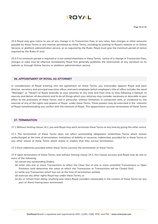25.4 Royal may give notice to you of any change in its Transaction Fees or any rates, fees charges or other amounts payable by these Terms in any manner permitted by these Terms, including by posting to Royal's website or to Online Services or platform administration service, or as required by the Rules. Royal must give the minimum period of notice required by the Rules (if any).

25.5 If no minimum period is required or is not stated elsewhere in these Terms, notice of a change in Transaction Fees, charges or roles may be effective immediately Royal first generally publishes the information of any variation on its website or through Online Service or platform administration service.

#### **26. APPOINTMENT OF ROYAL AS ATTORNEY**

In consideration of Royal entering into the agreement on these Terms, you irrevocably appoint Royal and each director, secretary and principal executive officer and each employee (which employee's title of office includes the word "Manager" or "Head") of Royal severally as your attorney at any time and from time to time following a Default, to execute and deliver all documents and to do all things which your attorney may consider necessary or desirable to give effect to the provisions of these Terms, and in particular, without limitation, in connection with, or incidental to, the exercise of any of the rights and powers of Royal under these Terms. Those powers may be exercised in the interests of Royal notwithstanding any conflict with the interests of Royal. This appointment survives termination of these Terms

#### **27. TERMINATION**

27.1 Without limiting clause 24.2, you and Royal may each terminate these Terms at any time by giving the other notice.

27.2 The termination of these Terms does not affect outstanding obligations underthese Terms which remain undischarged at the time of termination, limitations of liability or recourse, indemnities provided for in these Terms or any other clause of these Terms which states or implies that they survive termination.

27.3 Each indemnity provided within these Terms survives the termination of these Terms.

27.4 Upon termination of these Terms, and without limiting clause 24.2, this Clause survives and Royal may do one or more of the following:

- (a) cancel any outstanding Orders;
- (b) enter into one or more Transactions to effect the Close Out of one or more unsettled Transactions or Open Positions (and determine the value at which the Transaction or Transactions will be Closed Out);
- (c) settle any Transaction which has not at the time of termination settled;
- (d) exercise any other rights Royal has under these Terms; or
- (e) do, or refrain from doing, anything else which Royal considers reasonable in the context of these Terms (or any part of them) having been terminated.